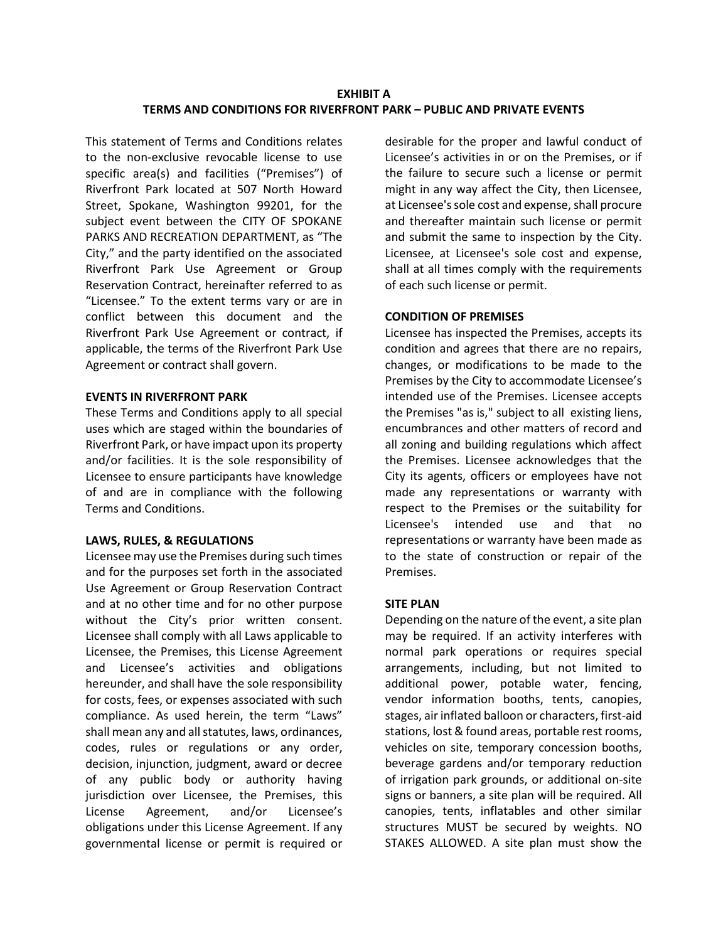# **EXHIBIT A TERMS AND CONDITIONS FOR RIVERFRONT PARK – PUBLIC AND PRIVATE EVENTS**

This statement of Terms and Conditions relates to the non-exclusive revocable license to use specific area(s) and facilities ("Premises") of Riverfront Park located at 507 North Howard Street, Spokane, Washington 99201, for the subject event between the CITY OF SPOKANE PARKS AND RECREATION DEPARTMENT, as "The City," and the party identified on the associated Riverfront Park Use Agreement or Group Reservation Contract, hereinafter referred to as "Licensee." To the extent terms vary or are in conflict between this document and the Riverfront Park Use Agreement or contract, if applicable, the terms of the Riverfront Park Use Agreement or contract shall govern.

### **EVENTS IN RIVERFRONT PARK**

These Terms and Conditions apply to all special uses which are staged within the boundaries of Riverfront Park, or have impact upon its property and/or facilities. It is the sole responsibility of Licensee to ensure participants have knowledge of and are in compliance with the following Terms and Conditions.

### **LAWS, RULES, & REGULATIONS**

Licensee may use the Premises during such times and for the purposes set forth in the associated Use Agreement or Group Reservation Contract and at no other time and for no other purpose without the City's prior written consent. Licensee shall comply with all Laws applicable to Licensee, the Premises, this License Agreement and Licensee's activities and obligations hereunder, and shall have the sole responsibility for costs, fees, or expenses associated with such compliance. As used herein, the term "Laws" shall mean any and all statutes, laws, ordinances, codes, rules or regulations or any order, decision, injunction, judgment, award or decree of any public body or authority having jurisdiction over Licensee, the Premises, this License Agreement, and/or Licensee's obligations under this License Agreement. If any governmental license or permit is required or

desirable for the proper and lawful conduct of Licensee's activities in or on the Premises, or if the failure to secure such a license or permit might in any way affect the City, then Licensee, at Licensee's sole cost and expense, shall procure and thereafter maintain such license or permit and submit the same to inspection by the City. Licensee, at Licensee's sole cost and expense, shall at all times comply with the requirements of each such license or permit.

# **CONDITION OF PREMISES**

Licensee has inspected the Premises, accepts its condition and agrees that there are no repairs, changes, or modifications to be made to the Premises by the City to accommodate Licensee's intended use of the Premises. Licensee accepts the Premises "as is," subject to all existing liens, encumbrances and other matters of record and all zoning and building regulations which affect the Premises. Licensee acknowledges that the City its agents, officers or employees have not made any representations or warranty with respect to the Premises or the suitability for Licensee's intended use and that no representations or warranty have been made as to the state of construction or repair of the Premises.

## **SITE PLAN**

Depending on the nature of the event, a site plan may be required. If an activity interferes with normal park operations or requires special arrangements, including, but not limited to additional power, potable water, fencing, vendor information booths, tents, canopies, stages, air inflated balloon or characters, first-aid stations, lost & found areas, portable rest rooms, vehicles on site, temporary concession booths, beverage gardens and/or temporary reduction of irrigation park grounds, or additional on-site signs or banners, a site plan will be required. All canopies, tents, inflatables and other similar structures MUST be secured by weights. NO STAKES ALLOWED. A site plan must show the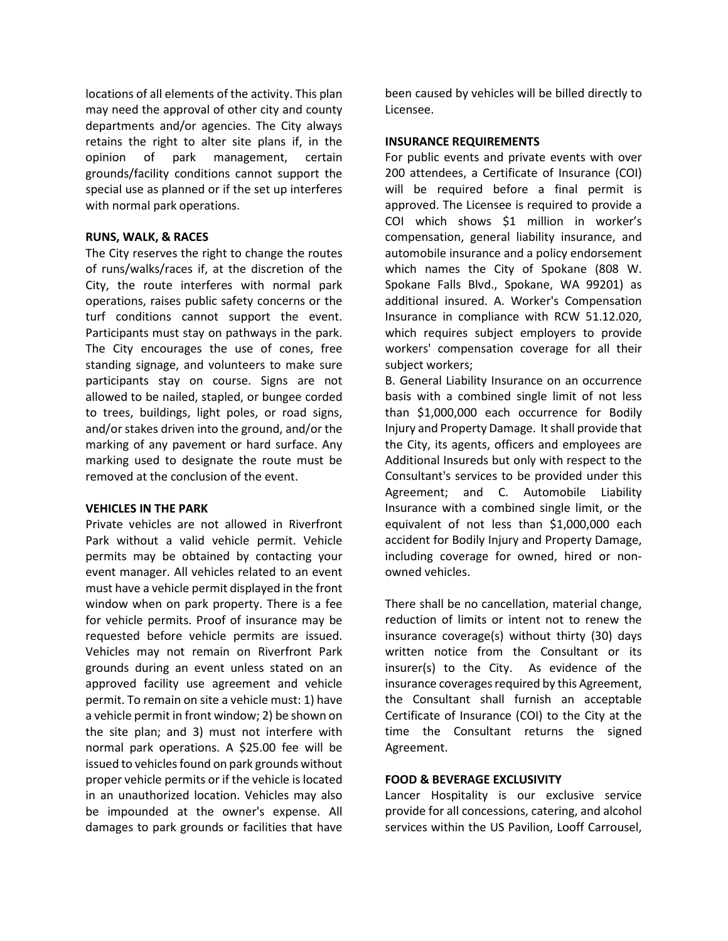locations of all elements of the activity. This plan may need the approval of other city and county departments and/or agencies. The City always retains the right to alter site plans if, in the opinion of park management, certain grounds/facility conditions cannot support the special use as planned or if the set up interferes with normal park operations.

### **RUNS, WALK, & RACES**

The City reserves the right to change the routes of runs/walks/races if, at the discretion of the City, the route interferes with normal park operations, raises public safety concerns or the turf conditions cannot support the event. Participants must stay on pathways in the park. The City encourages the use of cones, free standing signage, and volunteers to make sure participants stay on course. Signs are not allowed to be nailed, stapled, or bungee corded to trees, buildings, light poles, or road signs, and/or stakes driven into the ground, and/or the marking of any pavement or hard surface. Any marking used to designate the route must be removed at the conclusion of the event.

### **VEHICLES IN THE PARK**

Private vehicles are not allowed in Riverfront Park without a valid vehicle permit. Vehicle permits may be obtained by contacting your event manager. All vehicles related to an event must have a vehicle permit displayed in the front window when on park property. There is a fee for vehicle permits. Proof of insurance may be requested before vehicle permits are issued. Vehicles may not remain on Riverfront Park grounds during an event unless stated on an approved facility use agreement and vehicle permit. To remain on site a vehicle must: 1) have a vehicle permit in front window; 2) be shown on the site plan; and 3) must not interfere with normal park operations. A \$25.00 fee will be issued to vehicles found on park grounds without proper vehicle permits or if the vehicle is located in an unauthorized location. Vehicles may also be impounded at the owner's expense. All damages to park grounds or facilities that have

been caused by vehicles will be billed directly to Licensee.

## **INSURANCE REQUIREMENTS**

For public events and private events with over 200 attendees, a Certificate of Insurance (COI) will be required before a final permit is approved. The Licensee is required to provide a COI which shows \$1 million in worker's compensation, general liability insurance, and automobile insurance and a policy endorsement which names the City of Spokane (808 W. Spokane Falls Blvd., Spokane, WA 99201) as additional insured. A. Worker's Compensation Insurance in compliance with RCW 51.12.020, which requires subject employers to provide workers' compensation coverage for all their subject workers;

B. General Liability Insurance on an occurrence basis with a combined single limit of not less than \$1,000,000 each occurrence for Bodily Injury and Property Damage. It shall provide that the City, its agents, officers and employees are Additional Insureds but only with respect to the Consultant's services to be provided under this Agreement; and C. Automobile Liability Insurance with a combined single limit, or the equivalent of not less than \$1,000,000 each accident for Bodily Injury and Property Damage, including coverage for owned, hired or nonowned vehicles.

There shall be no cancellation, material change, reduction of limits or intent not to renew the insurance coverage(s) without thirty (30) days written notice from the Consultant or its insurer(s) to the City. As evidence of the insurance coverages required by this Agreement, the Consultant shall furnish an acceptable Certificate of Insurance (COI) to the City at the time the Consultant returns the signed Agreement.

## **FOOD & BEVERAGE EXCLUSIVITY**

Lancer Hospitality is our exclusive service provide for all concessions, catering, and alcohol services within the US Pavilion, Looff Carrousel,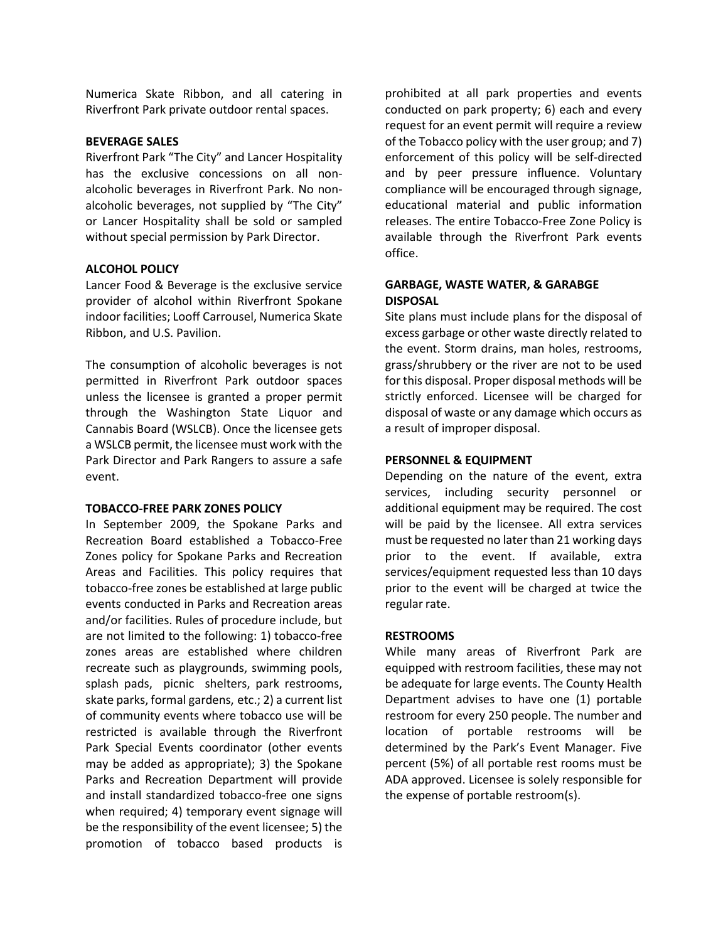Numerica Skate Ribbon, and all catering in Riverfront Park private outdoor rental spaces.

#### **BEVERAGE SALES**

Riverfront Park "The City" and Lancer Hospitality has the exclusive concessions on all nonalcoholic beverages in Riverfront Park. No nonalcoholic beverages, not supplied by "The City" or Lancer Hospitality shall be sold or sampled without special permission by Park Director.

### **ALCOHOL POLICY**

Lancer Food & Beverage is the exclusive service provider of alcohol within Riverfront Spokane indoor facilities; Looff Carrousel, Numerica Skate Ribbon, and U.S. Pavilion.

The consumption of alcoholic beverages is not permitted in Riverfront Park outdoor spaces unless the licensee is granted a proper permit through the Washington State Liquor and Cannabis Board (WSLCB). Once the licensee gets a WSLCB permit, the licensee must work with the Park Director and Park Rangers to assure a safe event.

### **TOBACCO-FREE PARK ZONES POLICY**

In September 2009, the Spokane Parks and Recreation Board established a Tobacco-Free Zones policy for Spokane Parks and Recreation Areas and Facilities. This policy requires that tobacco-free zones be established at large public events conducted in Parks and Recreation areas and/or facilities. Rules of procedure include, but are not limited to the following: 1) tobacco-free zones areas are established where children recreate such as playgrounds, swimming pools, splash pads, picnic shelters, park restrooms, skate parks, formal gardens, etc.; 2) a current list of community events where tobacco use will be restricted is available through the Riverfront Park Special Events coordinator (other events may be added as appropriate); 3) the Spokane Parks and Recreation Department will provide and install standardized tobacco-free one signs when required; 4) temporary event signage will be the responsibility of the event licensee; 5) the promotion of tobacco based products is

prohibited at all park properties and events conducted on park property; 6) each and every request for an event permit will require a review of the Tobacco policy with the user group; and 7) enforcement of this policy will be self-directed and by peer pressure influence. Voluntary compliance will be encouraged through signage, educational material and public information releases. The entire Tobacco-Free Zone Policy is available through the Riverfront Park events office.

## **GARBAGE, WASTE WATER, & GARABGE DISPOSAL**

Site plans must include plans for the disposal of excess garbage or other waste directly related to the event. Storm drains, man holes, restrooms, grass/shrubbery or the river are not to be used for this disposal. Proper disposal methods will be strictly enforced. Licensee will be charged for disposal of waste or any damage which occurs as a result of improper disposal.

### **PERSONNEL & EQUIPMENT**

Depending on the nature of the event, extra services, including security personnel or additional equipment may be required. The cost will be paid by the licensee. All extra services must be requested no later than 21 working days prior to the event. If available, extra services/equipment requested less than 10 days prior to the event will be charged at twice the regular rate.

### **RESTROOMS**

While many areas of Riverfront Park are equipped with restroom facilities, these may not be adequate for large events. The County Health Department advises to have one (1) portable restroom for every 250 people. The number and location of portable restrooms will be determined by the Park's Event Manager. Five percent (5%) of all portable rest rooms must be ADA approved. Licensee is solely responsible for the expense of portable restroom(s).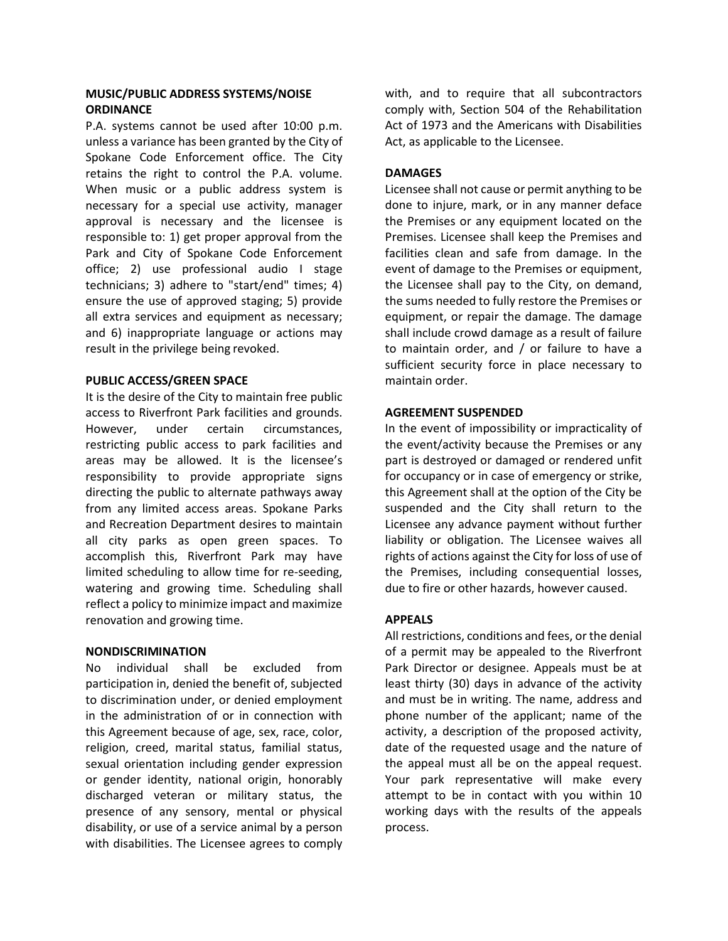# **MUSIC/PUBLIC ADDRESS SYSTEMS/NOISE ORDINANCE**

P.A. systems cannot be used after 10:00 p.m. unless a variance has been granted by the City of Spokane Code Enforcement office. The City retains the right to control the P.A. volume. When music or a public address system is necessary for a special use activity, manager approval is necessary and the licensee is responsible to: 1) get proper approval from the Park and City of Spokane Code Enforcement office; 2) use professional audio I stage technicians; 3) adhere to "start/end" times; 4) ensure the use of approved staging; 5) provide all extra services and equipment as necessary; and 6) inappropriate language or actions may result in the privilege being revoked.

### **PUBLIC ACCESS/GREEN SPACE**

It is the desire of the City to maintain free public access to Riverfront Park facilities and grounds. However, under certain circumstances, restricting public access to park facilities and areas may be allowed. It is the licensee's responsibility to provide appropriate signs directing the public to alternate pathways away from any limited access areas. Spokane Parks and Recreation Department desires to maintain all city parks as open green spaces. To accomplish this, Riverfront Park may have limited scheduling to allow time for re-seeding, watering and growing time. Scheduling shall reflect a policy to minimize impact and maximize renovation and growing time.

### **NONDISCRIMINATION**

No individual shall be excluded from participation in, denied the benefit of, subjected to discrimination under, or denied employment in the administration of or in connection with this Agreement because of age, sex, race, color, religion, creed, marital status, familial status, sexual orientation including gender expression or gender identity, national origin, honorably discharged veteran or military status, the presence of any sensory, mental or physical disability, or use of a service animal by a person with disabilities. The Licensee agrees to comply

with, and to require that all subcontractors comply with, Section 504 of the Rehabilitation Act of 1973 and the Americans with Disabilities Act, as applicable to the Licensee.

## **DAMAGES**

Licensee shall not cause or permit anything to be done to injure, mark, or in any manner deface the Premises or any equipment located on the Premises. Licensee shall keep the Premises and facilities clean and safe from damage. In the event of damage to the Premises or equipment, the Licensee shall pay to the City, on demand, the sums needed to fully restore the Premises or equipment, or repair the damage. The damage shall include crowd damage as a result of failure to maintain order, and / or failure to have a sufficient security force in place necessary to maintain order.

### **AGREEMENT SUSPENDED**

In the event of impossibility or impracticality of the event/activity because the Premises or any part is destroyed or damaged or rendered unfit for occupancy or in case of emergency or strike, this Agreement shall at the option of the City be suspended and the City shall return to the Licensee any advance payment without further liability or obligation. The Licensee waives all rights of actions against the City for loss of use of the Premises, including consequential losses, due to fire or other hazards, however caused.

## **APPEALS**

All restrictions, conditions and fees, or the denial of a permit may be appealed to the Riverfront Park Director or designee. Appeals must be at least thirty (30) days in advance of the activity and must be in writing. The name, address and phone number of the applicant; name of the activity, a description of the proposed activity, date of the requested usage and the nature of the appeal must all be on the appeal request. Your park representative will make every attempt to be in contact with you within 10 working days with the results of the appeals process.